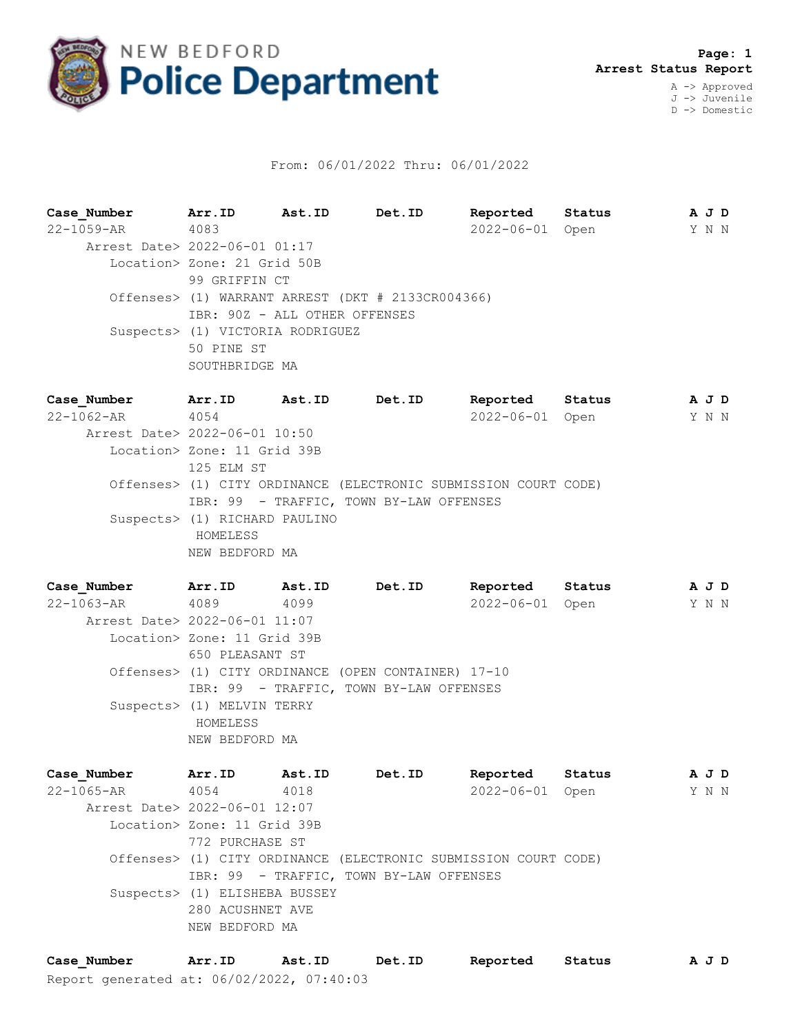

## From: 06/01/2022 Thru: 06/01/2022

**Case\_Number Arr.ID Ast.ID Det.ID Reported Status A J D** 22-1059-AR 4083 2022-06-01 Open Y N N Arrest Date> 2022-06-01 01:17 Location> Zone: 21 Grid 50B 99 GRIFFIN CT Offenses> (1) WARRANT ARREST (DKT # 2133CR004366) IBR: 90Z - ALL OTHER OFFENSES Suspects> (1) VICTORIA RODRIGUEZ 50 PINE ST SOUTHBRIDGE MA

**Case\_Number Arr.ID Ast.ID Det.ID Reported Status A J D** 22-1062-AR 4054 2022-06-01 Open Y N N Arrest Date> 2022-06-01 10:50 Location> Zone: 11 Grid 39B 125 ELM ST Offenses> (1) CITY ORDINANCE (ELECTRONIC SUBMISSION COURT CODE) IBR: 99 - TRAFFIC, TOWN BY-LAW OFFENSES Suspects> (1) RICHARD PAULINO HOMELESS NEW BEDFORD MA

**Case\_Number Arr.ID Ast.ID Det.ID Reported Status A J D** 22-1063-AR 4089 4099 2022-06-01 Open Y N N Arrest Date> 2022-06-01 11:07 Location> Zone: 11 Grid 39B 650 PLEASANT ST Offenses> (1) CITY ORDINANCE (OPEN CONTAINER) 17-10 IBR: 99 - TRAFFIC, TOWN BY-LAW OFFENSES Suspects> (1) MELVIN TERRY HOMELESS NEW BEDFORD MA

**Case\_Number Arr.ID Ast.ID Det.ID Reported Status A J D** 22-1065-AR 4054 4018 2022-06-01 Open Y N N Arrest Date> 2022-06-01 12:07 Location> Zone: 11 Grid 39B 772 PURCHASE ST Offenses> (1) CITY ORDINANCE (ELECTRONIC SUBMISSION COURT CODE) IBR: 99 - TRAFFIC, TOWN BY-LAW OFFENSES Suspects> (1) ELISHEBA BUSSEY 280 ACUSHNET AVE NEW BEDFORD MA

Report generated at: 06/02/2022, 07:40:03 **Case\_Number Arr.ID Ast.ID Det.ID Reported Status A J D**